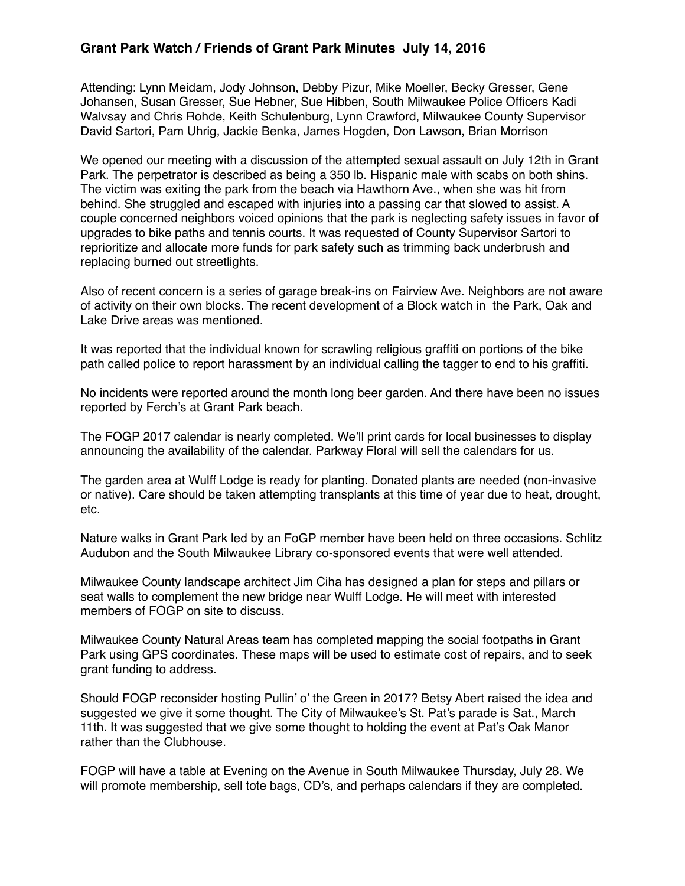## **Grant Park Watch / Friends of Grant Park Minutes July 14, 2016**

Attending: Lynn Meidam, Jody Johnson, Debby Pizur, Mike Moeller, Becky Gresser, Gene Johansen, Susan Gresser, Sue Hebner, Sue Hibben, South Milwaukee Police Officers Kadi Walvsay and Chris Rohde, Keith Schulenburg, Lynn Crawford, Milwaukee County Supervisor David Sartori, Pam Uhrig, Jackie Benka, James Hogden, Don Lawson, Brian Morrison

We opened our meeting with a discussion of the attempted sexual assault on July 12th in Grant Park. The perpetrator is described as being a 350 lb. Hispanic male with scabs on both shins. The victim was exiting the park from the beach via Hawthorn Ave., when she was hit from behind. She struggled and escaped with injuries into a passing car that slowed to assist. A couple concerned neighbors voiced opinions that the park is neglecting safety issues in favor of upgrades to bike paths and tennis courts. It was requested of County Supervisor Sartori to reprioritize and allocate more funds for park safety such as trimming back underbrush and replacing burned out streetlights.

Also of recent concern is a series of garage break-ins on Fairview Ave. Neighbors are not aware of activity on their own blocks. The recent development of a Block watch in the Park, Oak and Lake Drive areas was mentioned.

It was reported that the individual known for scrawling religious graffiti on portions of the bike path called police to report harassment by an individual calling the tagger to end to his graffiti.

No incidents were reported around the month long beer garden. And there have been no issues reported by Ferch's at Grant Park beach.

The FOGP 2017 calendar is nearly completed. We'll print cards for local businesses to display announcing the availability of the calendar. Parkway Floral will sell the calendars for us.

The garden area at Wulff Lodge is ready for planting. Donated plants are needed (non-invasive or native). Care should be taken attempting transplants at this time of year due to heat, drought, etc.

Nature walks in Grant Park led by an FoGP member have been held on three occasions. Schlitz Audubon and the South Milwaukee Library co-sponsored events that were well attended.

Milwaukee County landscape architect Jim Ciha has designed a plan for steps and pillars or seat walls to complement the new bridge near Wulff Lodge. He will meet with interested members of FOGP on site to discuss.

Milwaukee County Natural Areas team has completed mapping the social footpaths in Grant Park using GPS coordinates. These maps will be used to estimate cost of repairs, and to seek grant funding to address.

Should FOGP reconsider hosting Pullin' o' the Green in 2017? Betsy Abert raised the idea and suggested we give it some thought. The City of Milwaukee's St. Pat's parade is Sat., March 11th. It was suggested that we give some thought to holding the event at Pat's Oak Manor rather than the Clubhouse.

FOGP will have a table at Evening on the Avenue in South Milwaukee Thursday, July 28. We will promote membership, sell tote bags, CD's, and perhaps calendars if they are completed.